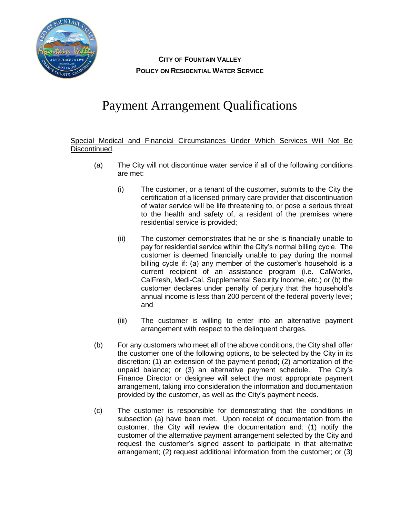

**CITY OF FOUNTAIN VALLEY POLICY ON RESIDENTIAL WATER SERVICE**

## Payment Arrangement Qualifications

Special Medical and Financial Circumstances Under Which Services Will Not Be Discontinued.

- (a) The City will not discontinue water service if all of the following conditions are met:
	- (i) The customer, or a tenant of the customer, submits to the City the certification of a licensed primary care provider that discontinuation of water service will be life threatening to, or pose a serious threat to the health and safety of, a resident of the premises where residential service is provided;
	- (ii) The customer demonstrates that he or she is financially unable to pay for residential service within the City's normal billing cycle. The customer is deemed financially unable to pay during the normal billing cycle if: (a) any member of the customer's household is a current recipient of an assistance program (i.e. CalWorks, CalFresh, Medi-Cal, Supplemental Security Income, etc.) or (b) the customer declares under penalty of perjury that the household's annual income is less than 200 percent of the federal poverty level; and
	- (iii) The customer is willing to enter into an alternative payment arrangement with respect to the delinquent charges.
- (b) For any customers who meet all of the above conditions, the City shall offer the customer one of the following options, to be selected by the City in its discretion: (1) an extension of the payment period; (2) amortization of the unpaid balance; or (3) an alternative payment schedule. The City's Finance Director or designee will select the most appropriate payment arrangement, taking into consideration the information and documentation provided by the customer, as well as the City's payment needs.
- (c) The customer is responsible for demonstrating that the conditions in subsection (a) have been met. Upon receipt of documentation from the customer, the City will review the documentation and: (1) notify the customer of the alternative payment arrangement selected by the City and request the customer's signed assent to participate in that alternative arrangement; (2) request additional information from the customer; or (3)